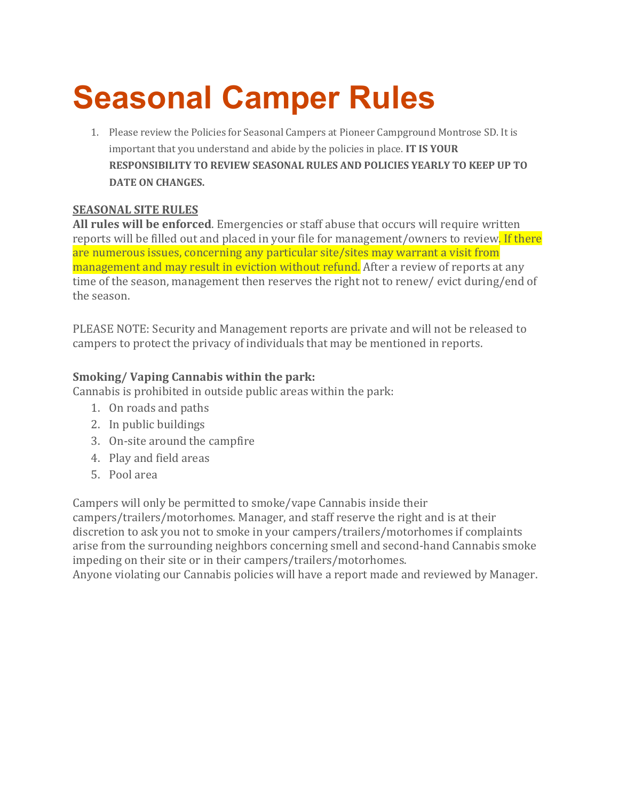## **Seasonal Camper Rules**

1. Please review the Policies for Seasonal Campers at Pioneer Campground Montrose SD. It is important that you understand and abide by the policies in place. **IT IS YOUR RESPONSIBILITY TO REVIEW SEASONAL RULES AND POLICIES YEARLY TO KEEP UP TO DATE ON CHANGES.**

## **SEASONAL SITE RULES**

**All rules will be enforced**. Emergencies or staff abuse that occurs will require written reports will be filled out and placed in your file for management/owners to review. If there are numerous issues, concerning any particular site/sites may warrant a visit from management and may result in eviction without refund. After a review of reports at any time of the season, management then reserves the right not to renew/ evict during/end of the season.

PLEASE NOTE: Security and Management reports are private and will not be released to campers to protect the privacy of individuals that may be mentioned in reports.

## **Smoking/ Vaping Cannabis within the park:**

Cannabis is prohibited in outside public areas within the park:

- 1. On roads and paths
- 2. In public buildings
- 3. On-site around the campfire
- 4. Play and field areas
- 5. Pool area

Campers will only be permitted to smoke/vape Cannabis inside their

campers/trailers/motorhomes. Manager, and staff reserve the right and is at their discretion to ask you not to smoke in your campers/trailers/motorhomes if complaints arise from the surrounding neighbors concerning smell and second-hand Cannabis smoke impeding on their site or in their campers/trailers/motorhomes.

Anyone violating our Cannabis policies will have a report made and reviewed by Manager.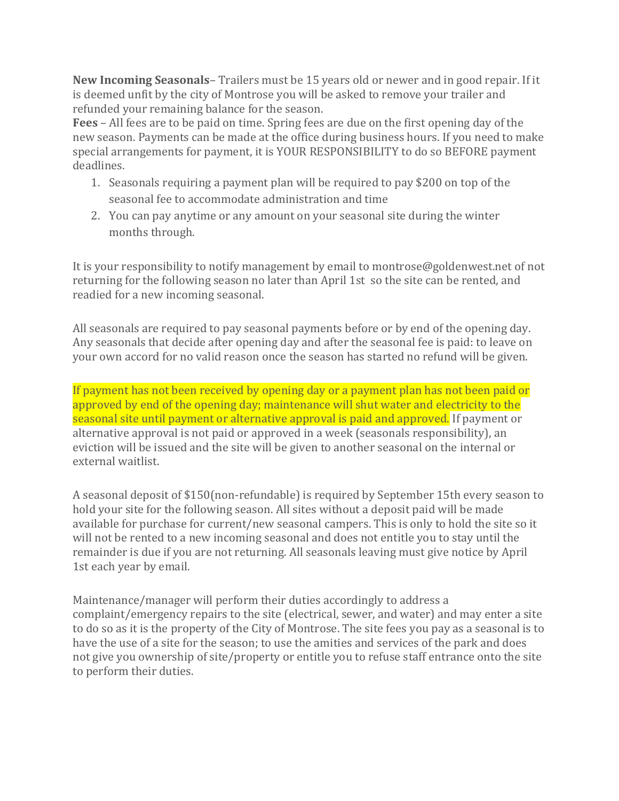**New Incoming Seasonals**– Trailers must be 15 years old or newer and in good repair. If it is deemed unfit by the city of Montrose you will be asked to remove your trailer and refunded your remaining balance for the season.

**Fees** – All fees are to be paid on time. Spring fees are due on the first opening day of the new season. Payments can be made at the office during business hours. If you need to make special arrangements for payment, it is YOUR RESPONSIBILITY to do so BEFORE payment deadlines.

- 1. Seasonals requiring a payment plan will be required to pay \$200 on top of the seasonal fee to accommodate administration and time
- 2. You can pay anytime or any amount on your seasonal site during the winter months through.

It is your responsibility to notify management by email to montrose@goldenwest.net of not returning for the following season no later than April 1st so the site can be rented, and readied for a new incoming seasonal.

All seasonals are required to pay seasonal payments before or by end of the opening day. Any seasonals that decide after opening day and after the seasonal fee is paid: to leave on your own accord for no valid reason once the season has started no refund will be given.

If payment has not been received by opening day or a payment plan has not been paid or approved by end of the opening day; maintenance will shut water and electricity to the seasonal site until payment or alternative approval is paid and approved. If payment or alternative approval is not paid or approved in a week (seasonals responsibility), an eviction will be issued and the site will be given to another seasonal on the internal or external waitlist.

A seasonal deposit of \$150(non-refundable) is required by September 15th every season to hold your site for the following season. All sites without a deposit paid will be made available for purchase for current/new seasonal campers. This is only to hold the site so it will not be rented to a new incoming seasonal and does not entitle you to stay until the remainder is due if you are not returning. All seasonals leaving must give notice by April 1st each year by email.

Maintenance/manager will perform their duties accordingly to address a complaint/emergency repairs to the site (electrical, sewer, and water) and may enter a site to do so as it is the property of the City of Montrose. The site fees you pay as a seasonal is to have the use of a site for the season; to use the amities and services of the park and does not give you ownership of site/property or entitle you to refuse staff entrance onto the site to perform their duties.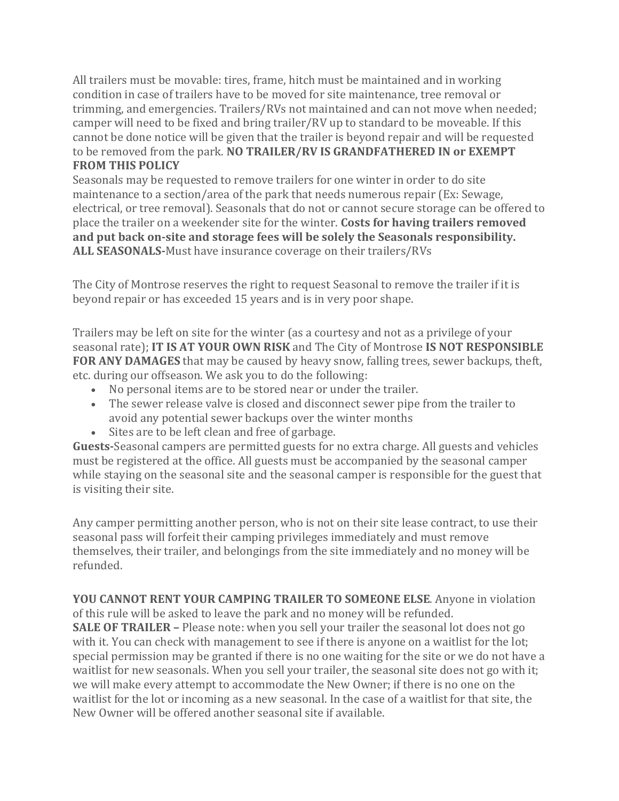All trailers must be movable: tires, frame, hitch must be maintained and in working condition in case of trailers have to be moved for site maintenance, tree removal or trimming, and emergencies. Trailers/RVs not maintained and can not move when needed; camper will need to be fixed and bring trailer/RV up to standard to be moveable. If this cannot be done notice will be given that the trailer is beyond repair and will be requested to be removed from the park. **NO TRAILER/RV IS GRANDFATHERED IN or EXEMPT FROM THIS POLICY**

Seasonals may be requested to remove trailers for one winter in order to do site maintenance to a section/area of the park that needs numerous repair (Ex: Sewage, electrical, or tree removal). Seasonals that do not or cannot secure storage can be offered to place the trailer on a weekender site for the winter. **Costs for having trailers removed and put back on-site and storage fees will be solely the Seasonals responsibility. ALL SEASONALS-**Must have insurance coverage on their trailers/RVs

The City of Montrose reserves the right to request Seasonal to remove the trailer if it is beyond repair or has exceeded 15 years and is in very poor shape.

Trailers may be left on site for the winter (as a courtesy and not as a privilege of your seasonal rate); **IT IS AT YOUR OWN RISK** and The City of Montrose **IS NOT RESPONSIBLE FOR ANY DAMAGES** that may be caused by heavy snow, falling trees, sewer backups, theft, etc. during our offseason. We ask you to do the following:

- No personal items are to be stored near or under the trailer.
- The sewer release valve is closed and disconnect sewer pipe from the trailer to avoid any potential sewer backups over the winter months
- Sites are to be left clean and free of garbage.

**Guests-**Seasonal campers are permitted guests for no extra charge. All guests and vehicles must be registered at the office. All guests must be accompanied by the seasonal camper while staying on the seasonal site and the seasonal camper is responsible for the guest that is visiting their site.

Any camper permitting another person, who is not on their site lease contract, to use their seasonal pass will forfeit their camping privileges immediately and must remove themselves, their trailer, and belongings from the site immediately and no money will be refunded.

**YOU CANNOT RENT YOUR CAMPING TRAILER TO SOMEONE ELSE**. Anyone in violation of this rule will be asked to leave the park and no money will be refunded. **SALE OF TRAILER –** Please note: when you sell your trailer the seasonal lot does not go with it. You can check with management to see if there is anyone on a waitlist for the lot; special permission may be granted if there is no one waiting for the site or we do not have a waitlist for new seasonals. When you sell your trailer, the seasonal site does not go with it; we will make every attempt to accommodate the New Owner; if there is no one on the waitlist for the lot or incoming as a new seasonal. In the case of a waitlist for that site, the New Owner will be offered another seasonal site if available.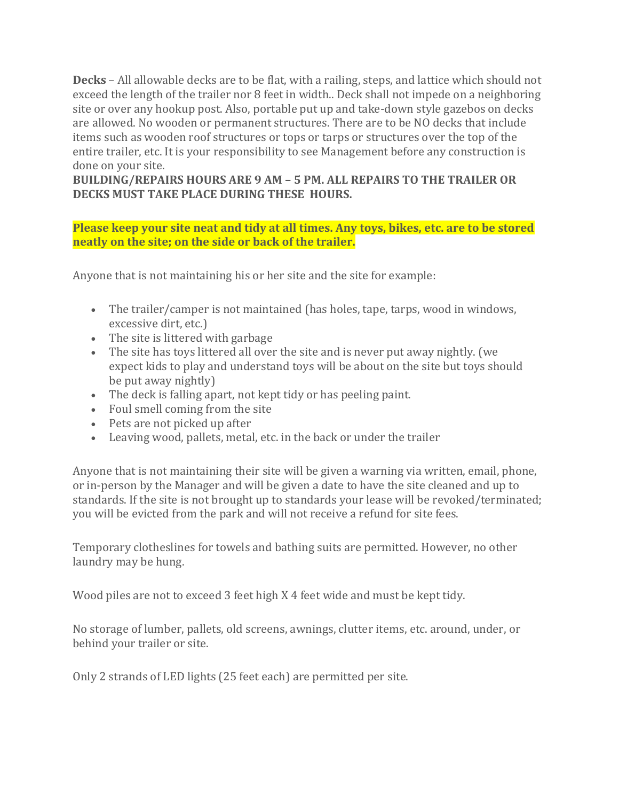**Decks** – All allowable decks are to be flat, with a railing, steps, and lattice which should not exceed the length of the trailer nor 8 feet in width.. Deck shall not impede on a neighboring site or over any hookup post. Also, portable put up and take-down style gazebos on decks are allowed. No wooden or permanent structures. There are to be NO decks that include items such as wooden roof structures or tops or tarps or structures over the top of the entire trailer, etc. It is your responsibility to see Management before any construction is done on your site.

**BUILDING/REPAIRS HOURS ARE 9 AM – 5 PM. ALL REPAIRS TO THE TRAILER OR DECKS MUST TAKE PLACE DURING THESE HOURS.**

## **Please keep your site neat and tidy at all times. Any toys, bikes, etc. are to be stored neatly on the site; on the side or back of the trailer.**

Anyone that is not maintaining his or her site and the site for example:

- The trailer/camper is not maintained (has holes, tape, tarps, wood in windows, excessive dirt, etc.)
- The site is littered with garbage
- The site has toys littered all over the site and is never put away nightly. (we expect kids to play and understand toys will be about on the site but toys should be put away nightly)
- The deck is falling apart, not kept tidy or has peeling paint.
- Foul smell coming from the site
- Pets are not picked up after
- Leaving wood, pallets, metal, etc. in the back or under the trailer

Anyone that is not maintaining their site will be given a warning via written, email, phone, or in-person by the Manager and will be given a date to have the site cleaned and up to standards. If the site is not brought up to standards your lease will be revoked/terminated; you will be evicted from the park and will not receive a refund for site fees.

Temporary clotheslines for towels and bathing suits are permitted. However, no other laundry may be hung.

Wood piles are not to exceed 3 feet high X 4 feet wide and must be kept tidy.

No storage of lumber, pallets, old screens, awnings, clutter items, etc. around, under, or behind your trailer or site.

Only 2 strands of LED lights (25 feet each) are permitted per site.